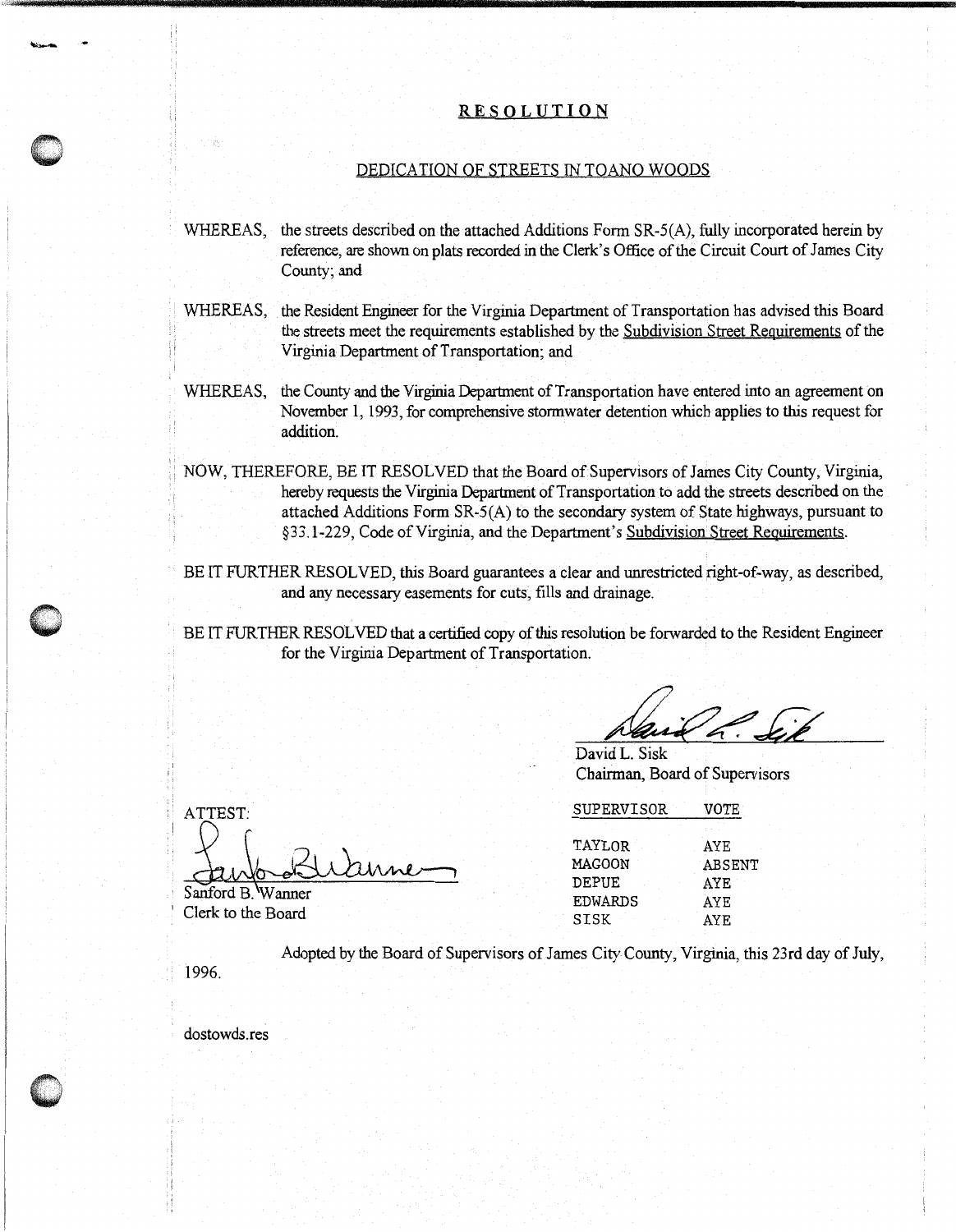## **RESOLUTION**

,,;::•' ~--------------------------------------------- ' !'

## DEDICATION OF STREETS IN TOANO WOODS

- WHEREAS, the streets described on the attached Additions Form SR-5(A), fully incorporated herein by reference, are shown on plats recorded in the Clerk's Office of the Circuit Court of James City County; and
- WHEREAS, the Resident Engineer for the Virginia Department of Transportation has advised this Board the streets meet the requirements established by the Subdivision Street Requirements of the Virginia Department of Transportation; and
- WHEREAS, the County and the Virginia Department of Transportation have entered into an agreement on November 1, 1993, for comprehensive stormwater detention which applies to this request for addition.
- ; ; NOW, THEREFORE, BE IT RESOLVED that the Board of Supervisors of James City County, Virginia, hereby requests the Virginia Department of Transportation to add the streets described on the attached Additions Form SR-5(A) to the secondary system of State highways, pursuant to §33 .1-229, Code of Virginia, and the Department's Subdivision Street Requirements.
- BE IT FURTHER RESOLVED, this Board guarantees a clear and unrestricted right-of-way, as described, and any necessary easements for cuts, fills and drainage.

BE IT FURTHER RESOLVED that a certified copy of this resolution be forwarded to the Resident Engineer for the Virginia Department of Transportation.

David L. Sisk Chairman, Board of Supervisors

ATTEST: arne

Sanford B. Wanner Clerk to the Board

| <b>SUPERVISOR</b> | VOTE   |  |
|-------------------|--------|--|
| TAYLOR            | AYE    |  |
| MAGOON            | ABSENT |  |
| DEPUE             | AYE    |  |
| <b>EDWARDS</b>    | AYE    |  |
| SISK              | AYE.   |  |

Adopted by the Board of Supervisors of James City County, Virginia, this 23rd day of July,

1996.

dostowds.res